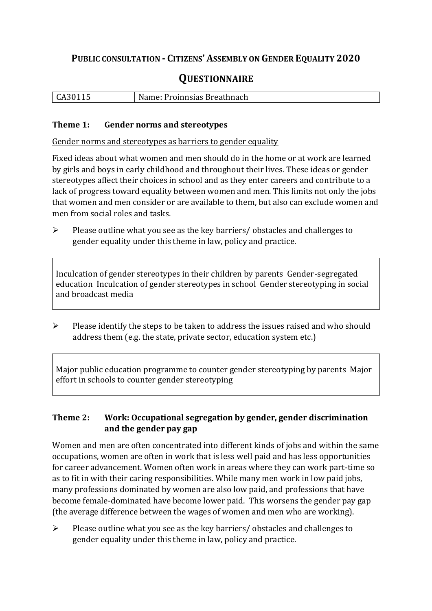## **PUBLIC CONSULTATION - CITIZENS' ASSEMBLY ON GENDER EQUALITY 2020**

# **QUESTIONNAIRE**

| CA30 <sup>1</sup> | : Proinnsias Breathnach<br>Name: |
|-------------------|----------------------------------|
|                   |                                  |

#### **Theme 1: Gender norms and stereotypes**

Gender norms and stereotypes as barriers to gender equality

Fixed ideas about what women and men should do in the home or at work are learned by girls and boys in early childhood and throughout their lives. These ideas or gender stereotypes affect their choices in school and as they enter careers and contribute to a lack of progress toward equality between women and men. This limits not only the jobs that women and men consider or are available to them, but also can exclude women and men from social roles and tasks.

➢ Please outline what you see as the key barriers/ obstacles and challenges to gender equality under this theme in law, policy and practice.

Inculcation of gender stereotypes in their children by parents Gender-segregated education Inculcation of gender stereotypes in school Gender stereotyping in social and broadcast media

➢ Please identify the steps to be taken to address the issues raised and who should address them (e.g. the state, private sector, education system etc.)

Major public education programme to counter gender stereotyping by parents Major effort in schools to counter gender stereotyping

### **Theme 2: Work: Occupational segregation by gender, gender discrimination and the gender pay gap**

Women and men are often concentrated into different kinds of jobs and within the same occupations, women are often in work that is less well paid and has less opportunities for career advancement. Women often work in areas where they can work part-time so as to fit in with their caring responsibilities. While many men work in low paid jobs, many professions dominated by women are also low paid, and professions that have become female-dominated have become lower paid. This worsens the gender pay gap (the average difference between the wages of women and men who are working).

➢ Please outline what you see as the key barriers/ obstacles and challenges to gender equality under this theme in law, policy and practice.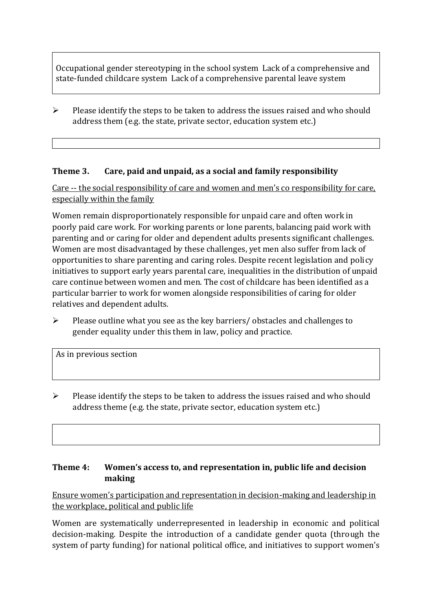Occupational gender stereotyping in the school system Lack of a comprehensive and state-funded childcare system Lack of a comprehensive parental leave system

 $\triangleright$  Please identify the steps to be taken to address the issues raised and who should address them (e.g. the state, private sector, education system etc.)

### **Theme 3. Care, paid and unpaid, as a social and family responsibility**

Care -- the social responsibility of care and women and men's co responsibility for care, especially within the family

Women remain disproportionately responsible for unpaid care and often work in poorly paid care work. For working parents or [lone parents,](https://aran.library.nuigalway.ie/bitstream/handle/10379/6044/Millar_and_Crosse_Activation_Report.pdf?sequence=1&isAllowed=y) balancing paid work with parenting and or caring for older and dependent adults presents significant challenges. Women are [most disadvantaged by these challenges,](https://eige.europa.eu/gender-equality-index/game/IE/W) yet men also suffer from lack of opportunities to share parenting and caring roles. Despite recent legislation and policy initiatives to support early years parental care, [inequalities in the distribution of unpaid](https://www.ihrec.ie/app/uploads/2019/07/Caring-and-Unpaid-Work-in-Ireland_Final.pdf)  [care](https://www.ihrec.ie/app/uploads/2019/07/Caring-and-Unpaid-Work-in-Ireland_Final.pdf) continue between women and men. The cost of childcare has been identified as a particular barrier to work for women alongside responsibilities of caring for older relatives and dependent adults.

➢ Please outline what you see as the key barriers/ obstacles and challenges to gender equality under this them in law, policy and practice.

As in previous section

 $\triangleright$  Please identify the steps to be taken to address the issues raised and who should address theme (e.g. the state, private sector, education system etc.)

#### **Theme 4: Women's access to, and representation in, public life and decision making**

Ensure women's participation and representation in decision-making and leadership in the workplace, political and public life

Women are systematically underrepresented in leadership in [economic](https://eige.europa.eu/gender-equality-index/2019/compare-countries/power/2/bar) and [political](https://eige.europa.eu/gender-equality-index/2019/compare-countries/power/1/bar)  [decision-](https://eige.europa.eu/gender-equality-index/2019/compare-countries/power/1/bar)making. Despite the introduction of a candidate gender quota (through the system of party funding) for national political office, and [initiatives](https://betterbalance.ie/) to support women's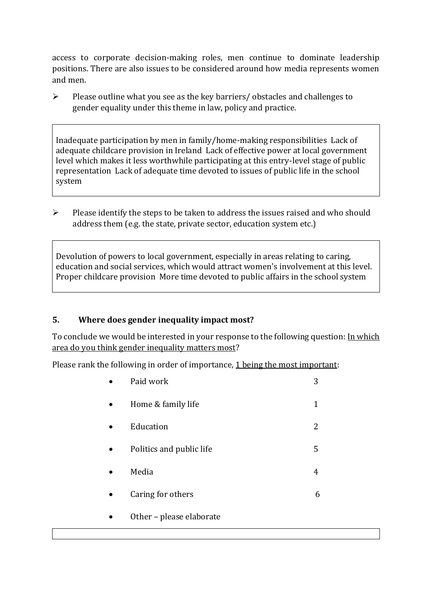access to corporate decision-making roles, men continue to dominate leadership positions. There are also issues to be considered around how media represents women and men.

➢ Please outline what you see as the key barriers/ obstacles and challenges to gender equality under this theme in law, policy and practice.

Inadequate participation by men in family/home-making responsibilities Lack of adequate childcare provision in Ireland Lack of effective power at local government level which makes it less worthwhile participating at this entry-level stage of public representation Lack of adequate time devoted to issues of public life in the school system

➢ Please identify the steps to be taken to address the issues raised and who should address them (e.g. the state, private sector, education system etc.)

Devolution of powers to local government, especially in areas relating to caring, education and social services, which would attract women's involvement at this level. Proper childcare provision More time devoted to public affairs in the school system

#### **5. Where does gender inequality impact most?**

To conclude we would be interested in your response to the following question: In which area do you think gender inequality matters most?

Please rank the following in order of importance, 1 being the most important:

| Paid work                | 3 |
|--------------------------|---|
| Home & family life       | 1 |
| Education                | 2 |
| Politics and public life | 5 |
| Media                    | 4 |
| Caring for others        | 6 |
| Other - please elaborate |   |